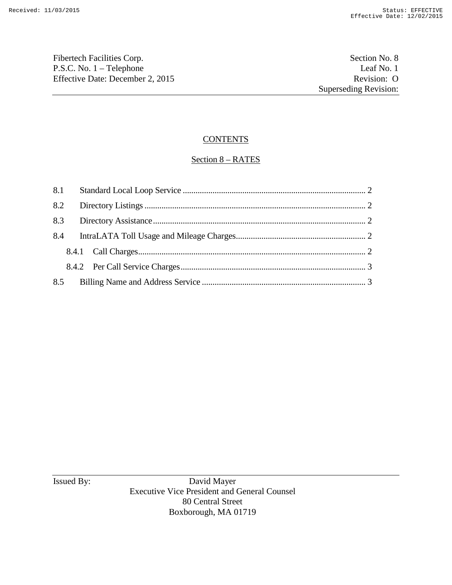Fibertech Facilities Corp. Section No. 8 P.S.C. No. 1 – Telephone Leaf No. 1<br>
Effective Date: December 2, 2015 Revision: O Effective Date: December 2, 2015

# **CONTENTS**

# Section 8 – RATES

Issued By: David Mayer Executive Vice President and General Counsel 80 Central Street Boxborough, MA 01719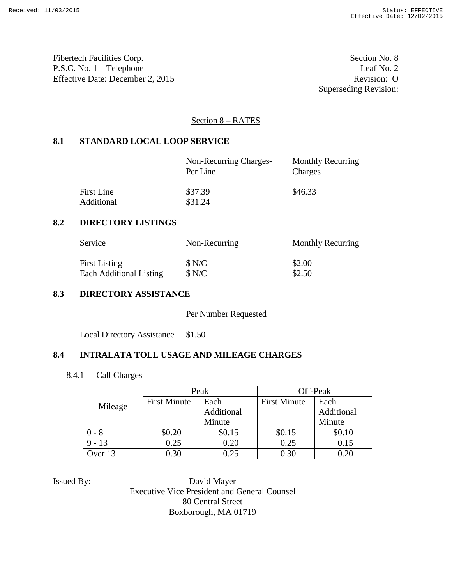Fibertech Facilities Corp. Section No. 8 P.S.C. No. 1 – Telephone Leaf No. 2 Effective Date: December 2, 2015 Revision: O

Superseding Revision:

#### Section 8 – RATES

#### **8.1 STANDARD LOCAL LOOP SERVICE**

|                   | Non-Recurring Charges-<br>Per Line | <b>Monthly Recurring</b><br>Charges |
|-------------------|------------------------------------|-------------------------------------|
| <b>First Line</b> | \$37.39                            | \$46.33                             |
| Additional        | \$31.24                            |                                     |

#### **8.2 DIRECTORY LISTINGS**

| Service                 | Non-Recurring | Monthly Recurring |
|-------------------------|---------------|-------------------|
| <b>First Listing</b>    | \$N/C         | \$2.00            |
| Each Additional Listing | \$N/C         | \$2.50            |

## **8.3 DIRECTORY ASSISTANCE**

Per Number Requested

Local Directory Assistance \$1.50

## **8.4 INTRALATA TOLL USAGE AND MILEAGE CHARGES**

8.4.1 Call Charges

|          | Peak                |            | Off-Peak            |            |
|----------|---------------------|------------|---------------------|------------|
| Mileage  | <b>First Minute</b> | Each       | <b>First Minute</b> | Each       |
|          |                     | Additional |                     | Additional |
|          |                     | Minute     |                     | Minute     |
| - 8      | \$0.20              | \$0.15     | \$0.15              | \$0.10     |
| $9 - 13$ | 0.25                | 0.20       | 0.25                | 0.15       |
| Over 13  | 0.30                | 0.25       | 0.30                | 0.20       |

Issued By: David Mayer Executive Vice President and General Counsel 80 Central Street Boxborough, MA 01719